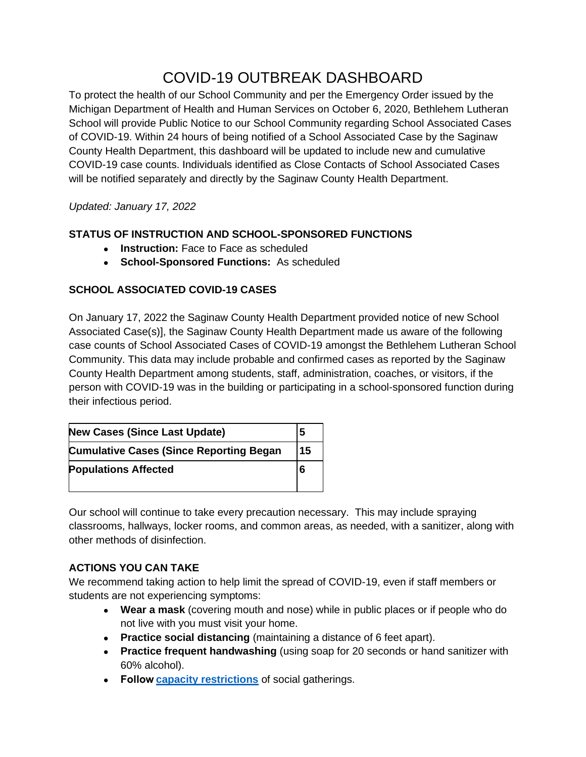# COVID-19 OUTBREAK DASHBOARD

To protect the health of our School Community and per the Emergency Order issued by the Michigan Department of Health and Human Services on October 6, 2020, Bethlehem Lutheran School will provide Public Notice to our School Community regarding School Associated Cases of COVID-19. Within 24 hours of being notified of a School Associated Case by the Saginaw County Health Department, this dashboard will be updated to include new and cumulative COVID-19 case counts. Individuals identified as Close Contacts of School Associated Cases will be notified separately and directly by the Saginaw County Health Department.

### *Updated: January 17, 2022*

# **STATUS OF INSTRUCTION AND SCHOOL-SPONSORED FUNCTIONS**

- **Instruction:** Face to Face as scheduled
- **School-Sponsored Functions:** As scheduled

### **SCHOOL ASSOCIATED COVID-19 CASES**

On January 17, 2022 the Saginaw County Health Department provided notice of new School Associated Case(s)], the Saginaw County Health Department made us aware of the following case counts of School Associated Cases of COVID-19 amongst the Bethlehem Lutheran School Community. This data may include probable and confirmed cases as reported by the Saginaw County Health Department among students, staff, administration, coaches, or visitors, if the person with COVID-19 was in the building or participating in a school-sponsored function during their infectious period.

| <b>New Cases (Since Last Update)</b>           |    |
|------------------------------------------------|----|
| <b>Cumulative Cases (Since Reporting Began</b> | 15 |
| <b>Populations Affected</b>                    |    |

Our school will continue to take every precaution necessary. This may include spraying classrooms, hallways, locker rooms, and common areas, as needed, with a sanitizer, along with other methods of disinfection.

# **ACTIONS YOU CAN TAKE**

We recommend taking action to help limit the spread of COVID-19, even if staff members or students are not experiencing symptoms:

- **Wear a mask** (covering mouth and nose) while in public places or if people who do not live with you must visit your home.
- **Practice social distancing** (maintaining a distance of 6 feet apart).
- **Practice frequent handwashing** (using soap for 20 seconds or hand sanitizer with 60% alcohol).
- **Follow[capacity restrictions](https://www.michigan.gov/documents/coronavirus/MDHHS_epidemic_order_-_Gatherings_masks_bars_sports_-_FINAL_704287_7.pdf)** of social gatherings.